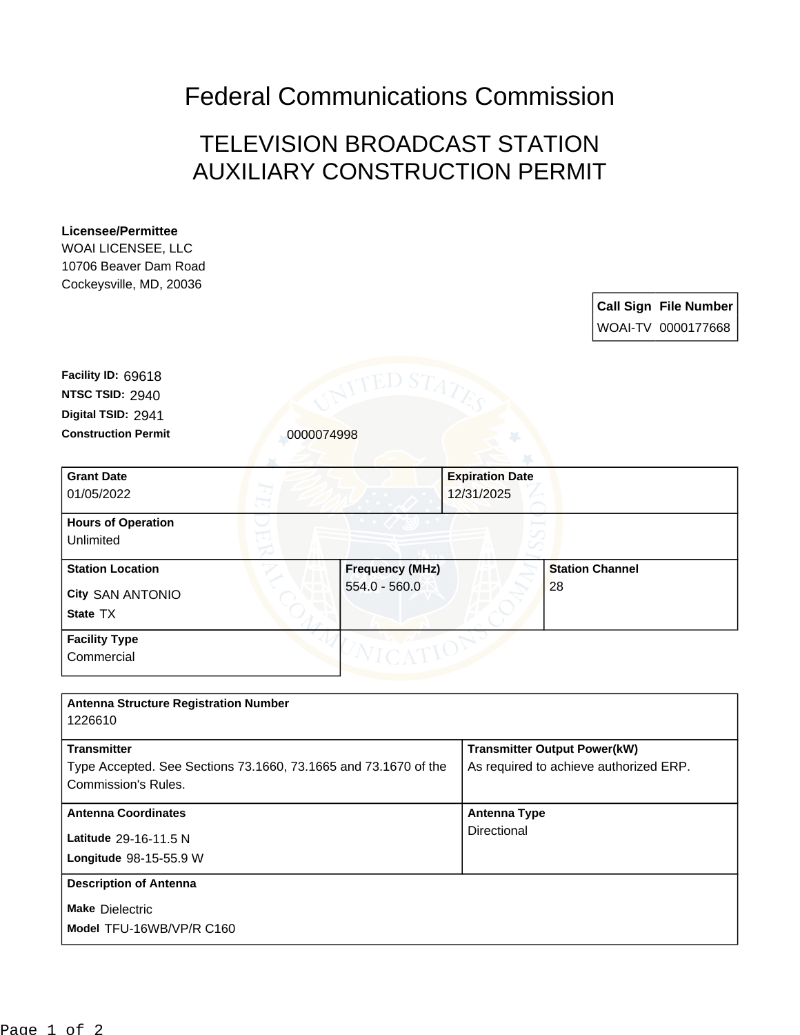## Federal Communications Commission

## TELEVISION BROADCAST STATION AUXILIARY CONSTRUCTION PERMIT

## **Licensee/Permittee** WOAI LICENSEE, LLC 10706 Beaver Dam Road Cockeysville, MD, 20036 **Call Sign File Number** WOAI-TV 0000177668 **Construction Permit** 0000074998 **Digital TSID:** 2941 **NTSC TSID:** 2940 **Facility ID:** 69618 **Make** Dielectric **Longitude** 98-15-55.9 W **Latitude** 29-16-11.5 N **State** TX **City** SAN ANTONIO **Grant Date** 01/05/2022 **Expiration Date** 12/31/2025 **Hours of Operation** Unlimited **Station Location Frequency (MHz)** 554.0 - 560.0 **Station Channel** 28 **Facility Type Commercial Antenna Structure Registration Number** 1226610 **Transmitter** Type Accepted. See Sections 73.1660, 73.1665 and 73.1670 of the Commission's Rules. **Transmitter Output Power(kW)** As required to achieve authorized ERP. **Antenna Coordinates Antenna Type Directional Description of Antenna**

**Model** TFU-16WB/VP/R C160